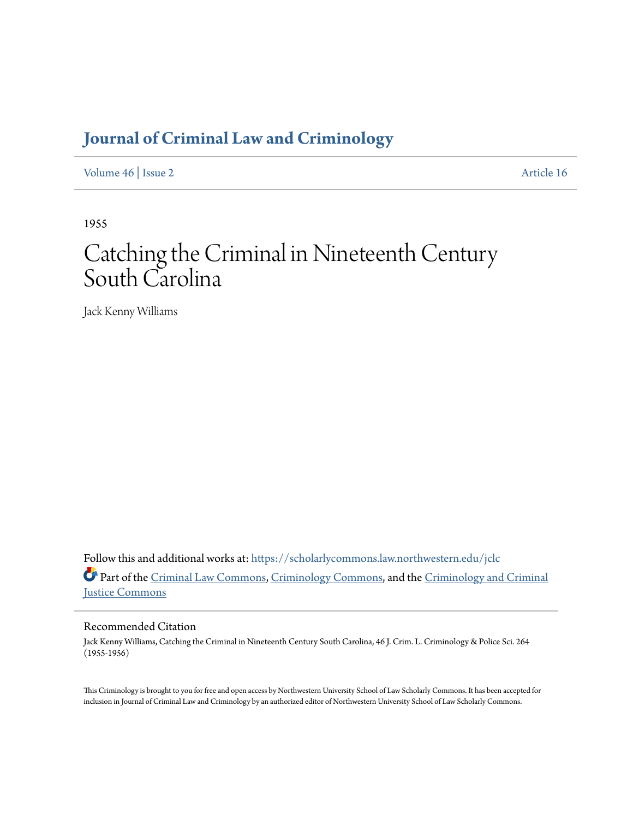## **[Journal of Criminal Law and Criminology](https://scholarlycommons.law.northwestern.edu/jclc?utm_source=scholarlycommons.law.northwestern.edu%2Fjclc%2Fvol46%2Fiss2%2F16&utm_medium=PDF&utm_campaign=PDFCoverPages)**

[Volume 46](https://scholarlycommons.law.northwestern.edu/jclc/vol46?utm_source=scholarlycommons.law.northwestern.edu%2Fjclc%2Fvol46%2Fiss2%2F16&utm_medium=PDF&utm_campaign=PDFCoverPages) | [Issue 2](https://scholarlycommons.law.northwestern.edu/jclc/vol46/iss2?utm_source=scholarlycommons.law.northwestern.edu%2Fjclc%2Fvol46%2Fiss2%2F16&utm_medium=PDF&utm_campaign=PDFCoverPages) [Article 16](https://scholarlycommons.law.northwestern.edu/jclc/vol46/iss2/16?utm_source=scholarlycommons.law.northwestern.edu%2Fjclc%2Fvol46%2Fiss2%2F16&utm_medium=PDF&utm_campaign=PDFCoverPages)

1955

# Catching the Criminal in Nineteenth Century South Carolina

Jack Kenny Williams

Follow this and additional works at: [https://scholarlycommons.law.northwestern.edu/jclc](https://scholarlycommons.law.northwestern.edu/jclc?utm_source=scholarlycommons.law.northwestern.edu%2Fjclc%2Fvol46%2Fiss2%2F16&utm_medium=PDF&utm_campaign=PDFCoverPages) Part of the [Criminal Law Commons](http://network.bepress.com/hgg/discipline/912?utm_source=scholarlycommons.law.northwestern.edu%2Fjclc%2Fvol46%2Fiss2%2F16&utm_medium=PDF&utm_campaign=PDFCoverPages), [Criminology Commons](http://network.bepress.com/hgg/discipline/417?utm_source=scholarlycommons.law.northwestern.edu%2Fjclc%2Fvol46%2Fiss2%2F16&utm_medium=PDF&utm_campaign=PDFCoverPages), and the [Criminology and Criminal](http://network.bepress.com/hgg/discipline/367?utm_source=scholarlycommons.law.northwestern.edu%2Fjclc%2Fvol46%2Fiss2%2F16&utm_medium=PDF&utm_campaign=PDFCoverPages) [Justice Commons](http://network.bepress.com/hgg/discipline/367?utm_source=scholarlycommons.law.northwestern.edu%2Fjclc%2Fvol46%2Fiss2%2F16&utm_medium=PDF&utm_campaign=PDFCoverPages)

### Recommended Citation

Jack Kenny Williams, Catching the Criminal in Nineteenth Century South Carolina, 46 J. Crim. L. Criminology & Police Sci. 264 (1955-1956)

This Criminology is brought to you for free and open access by Northwestern University School of Law Scholarly Commons. It has been accepted for inclusion in Journal of Criminal Law and Criminology by an authorized editor of Northwestern University School of Law Scholarly Commons.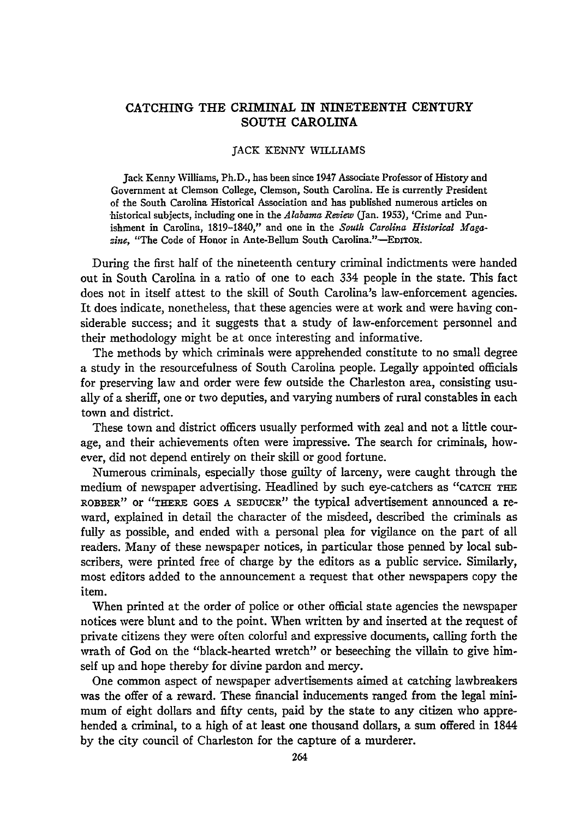#### CATCHING THE CRIMINAL IN **NINETEENTH CENTURY SOUTH** CAROLINA

#### JACK KENNY WILLIAMS

Jack Kenny Williams, Ph.D., has been since 1947 Associate Professor of History and Government at Clemson College, Clemson, South Carolina. He is currently President of the South Carolina Historical Association and has published numerous articles on -historical subjects, including one in the *Alabama Review* (Jan. 1953), 'Crime and Punishment in Carolina, 1819-1840," and one in the *South Carolina Historical Maga*zine, "The Code of Honor in Ante-Bellum South Carolina."-EDITOR.

During the first half of the nineteenth century criminal indictments were handed out in South Carolina in a ratio of one to each 334 people in the state. This fact does not in itself attest to the skill of South Carolina's law-enforcement agencies. It does indicate, nonetheless, that these agencies were at work and were having considerable success; and it suggests that a study of law-enforcement personnel and their methodology might be at once interesting and informative.

The methods by which criminals were apprehended constitute to no small degree a study in the resourcefulness of South Carolina people. Legally appointed officials for preserving law and order were few outside the Charleston area, consisting usually of a sheriff, one or two deputies, and varying numbers of rural constables in each town and district.

These town and district officers usually performed with zeal and not a little courage, and their achievements often were impressive. The search for criminals, however, did not depend entirely on their skill or good fortune.

Numerous criminals, especially those guilty of larceny, were caught through the medium of newspaper advertising. Headlined by such eye-catchers as **"CATCH THE ROBBER"** or "THERE **GOES A SEDUCER"** the typical advertisement announced a reward, explained in detail the character of the misdeed, described the criminals as fully as possible, and ended with a personal plea for vigilance on the part of all readers. Many of these newspaper notices, in particular those penned by local subscribers, were printed free of charge by the editors as a public service. Similarly, most editors added to the announcement a request that other newspapers copy the item.

When printed at the order of police or other official state agencies the newspaper notices were blunt and to the point. When written by and inserted at the request of private citizens they were often colorful and expressive documents, calling forth the wrath of God on the "black-hearted wretch" or beseeching the villain to give himself up and hope thereby for divine pardon and mercy.

One common aspect of newspaper advertisements aimed at catching lawbreakers was the offer of a reward. These financial inducements ranged from the legal minimum of eight dollars and fifty cents, paid by the state to any citizen who apprehended a criminal, to a high of at least one thousand dollars, a sum offered in 1844 by the city council of Charleston for the capture of a murderer.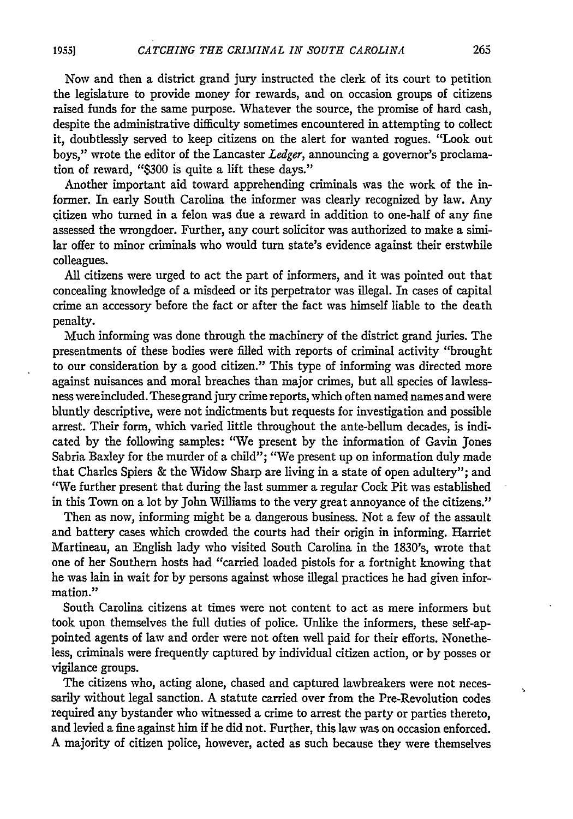Now and then a district grand jury instructed the clerk of its court to petition the legislature to provide money for rewards, and on occasion groups of citizens raised funds for the same purpose. Whatever the source, the promise of hard cash, despite the administrative difficulty sometimes encountered in attempting to collect it, doubtlessly served to keep citizens on the alert for wanted rogues. "Look out boys," wrote the editor of the Lancaster *Ledger,* announcing a governor's proclamation of reward, "\$300 is quite a lift these days."

Another important aid toward apprehending criminals was the work of the informer. In early South Carolina the informer was clearly recognized by law. Any citizen who turned in a felon was due a reward in addition to one-half of any fine assessed the wrongdoer. Further, any court solicitor was authorized to make a similar offer to minor criminals who would turn state's evidence against their erstwhile colleagues.

**All** citizens were urged to act the part of informers, and it was pointed out that concealing knowledge of a misdeed or its perpetrator was illegal. In cases of capital crime an accessory before the fact or after the fact was himself liable to the death penalty.

Much informing was done through the machinery of the district grand juries. The presentments of these bodies were filled with reports of criminal activity "brought to our consideration by a good citizen." This type of informing was directed more against nuisances and moral breaches than major crimes, but all species of lawlessness wereincluded. These grand jury crime reports, which often named names and were bluntly descriptive, were not indictments but requests for investigation and possible arrest. Their form, which varied little throughout the ante-bellum decades, is indicated by the following samples: "We present by the information of Gavin Jones Sabria Baxley for the murder of a child"; "We present up on information duly made that Charles Spiers & the Widow Sharp are living in a state of open adultery"; and "We further present that during the last summer a regular Cock Pit was established in this Town on a lot by John Williams to the very great annoyance of the citizens."

Then as now, informing might be a dangerous business. Not a few of the assault and battery cases which crowded the courts had their origin in informing. Harriet Martineau, an English lady who visited South Carolina in the 1830's, wrote that one of her Southern hosts had "carried loaded pistols for a fortnight knowing that he was lain in wait for by persons against whose illegal practices he had given information."

South Carolina citizens at times were not content to act as mere informers but took upon themselves the full duties of police. Unlike the informers, these self-appointed agents of law and order were not often well paid for their efforts. Nonetheless, criminals were frequently captured by individual citizen action, or by posses or vigilance groups.

The citizens who, acting alone, chased and captured lawbreakers were not necessarily without legal sanction. A statute carried over from the Pre-Revolution codes required any bystander who witnessed a crime to arrest the party or parties thereto, and levied a fine against him if he did not. Further, this law was on occasion enforced. A majority of citizen police, however, acted as such because they were themselves

Ň,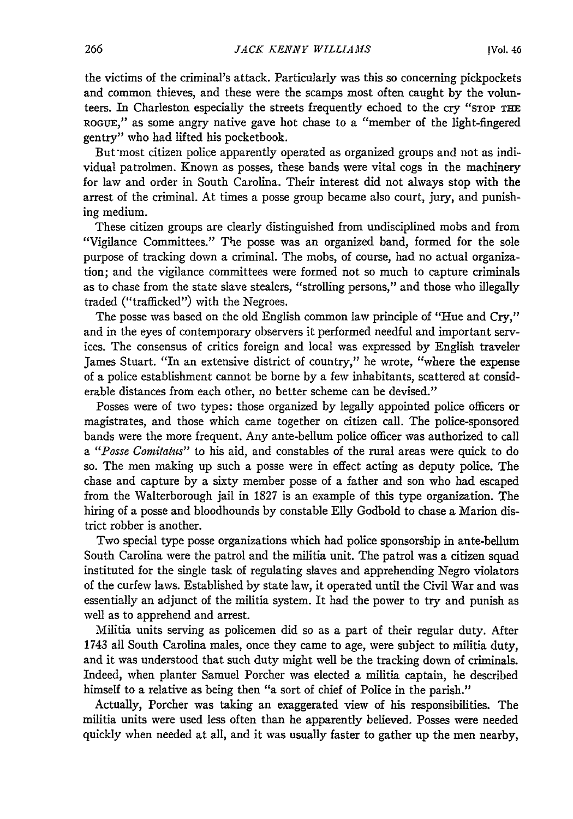the victims of the criminal's attack. Particularly was this so concerning pickpockets and common thieves, and these were the scamps most often caught by the volunteers. In Charleston especially the streets frequently echoed to the cry "sTop **THE ROGuE,"** as some angry native gave hot chase to a "member of the light-fingered gentry" who had lifted his pocketbook.

But-most citizen police apparently operated as organized groups and not as individual patrolmen. Known as posses, these bands were vital cogs in the machinery for law and order in South Carolina. Their interest did not always stop with the arrest of the criminal. At times a posse group became also court, jury, and punishing medium.

These citizen groups are clearly distinguished from undisciplined mobs and from "Vigilance Committees." The posse was an organized band, formed for the sole purpose of tracking down a criminal. The mobs, of course, had no actual organization; and the vigilance committees were formed not so much to capture criminals as to chase from the state slave stealers, "strolling persons," and those who illegally traded ("trafficked") with the Negroes.

The posse was based on the old English common law principle of "Hue and Cry," and in the eyes of contemporary observers it performed needful and important services. The consensus of critics foreign and local was expressed by English traveler James Stuart. "In an extensive district of country," he wrote, "where the expense of a police establishment cannot be borne by a few inhabitants, scattered at considerable distances from each other, no better scheme can be devised."

Posses were of two types: those organized by legally appointed police officers or magistrates, and those which came together on citizen call. The police-sponsored bands were the more frequent. Any ante-bellum police officer was authorized to call *a "Posse* Comitatus" to his aid, and constables of the rural areas were quick to do so. The men making up such a posse were in effect acting as deputy police. The chase and capture by a sixty member posse of a father and son who had escaped from the Walterborough jail in 1827 is an example of this type organization. The hiring of a posse and bloodhounds by constable Elly Godbold to chase a Marion district robber is another.

Two special type posse organizations which had police sponsorship in ante-bellum South Carolina were the patrol and the militia unit. The patrol was a citizen squad instituted for the single task of regulating slaves and apprehending Negro violators of the curfew laws. Established by state law, it operated until the Civil War and was essentially an adjunct of the militia system. It had the power to try and punish as well as to apprehend and arrest.

Militia units serving as policemen did so as a part of their regular duty. After 1743 all South Carolina males, once they came to age, were subject to militia duty, and it was understood that such duty might well be the tracking down of criminals. Indeed, when planter Samuel Porcher was elected a militia captain, he described himself to a relative as being then "a sort of chief of Police in the parish."

Actually, Porcher was taking an exaggerated view of his responsibilities. The militia units were used less often than he apparently believed. Posses were needed quickly when needed at all, and it was usually faster to gather up the men nearby,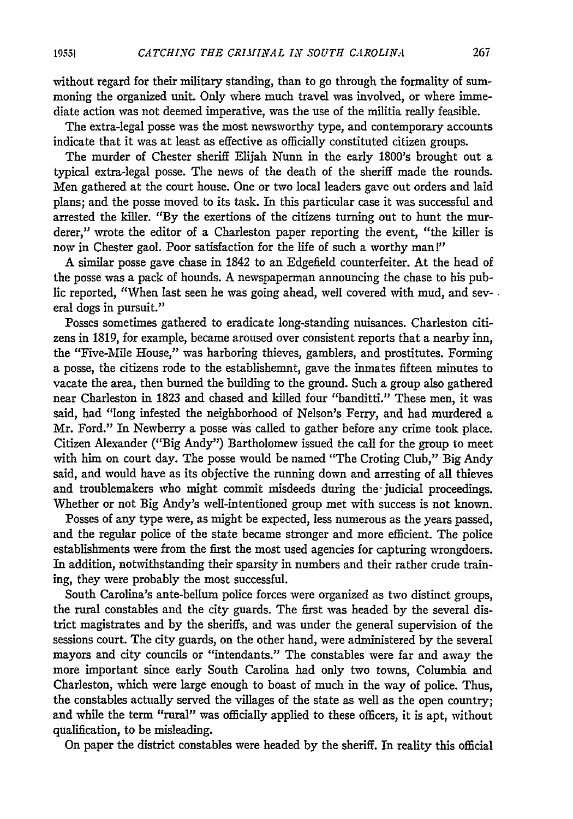without regard for their military standing, than to go through the formality of summoning the organized unit. Only where much travel was involved, or where immediate action was not deemed imperative, was the use of the militia really feasible.

The extra-legal posse was the most newsworthy type, and contemporary accounts indicate that it was at least as effective as officially constituted citizen groups.

The murder of Chester sheriff Elijah Nunn in the early 1800's brought out a typical extra-legal posse. The news of the death of the sheriff made the rounds. Men gathered at the court house. One or two local leaders gave out orders and laid plans; and the posse moved to its task. In this particular case it was successful and arrested the killer. **"By** the exertions of the citizens turning out to hunt the murderer," wrote the editor of a Charleston paper reporting the event, "the killer is now in Chester gaol. Poor satisfaction for the life of such a worthy man!"

**A** similar posse gave chase in 1842 to an Edgefield counterfeiter. At the head of the posse was a pack of hounds. **A** newspaperman announcing the chase to his public reported, "When last seen he was going ahead, well covered with mud, and several dogs in pursuit."

Posses sometimes gathered to eradicate long-standing nuisances. Charleston citizens in **1819,** for example, became aroused over consistent reports that a nearby inn, the "Five-Mile House," was harboring thieves, gamblers, and prostitutes. Forming a posse, the citizens rode to the establishemnt, gave the inmates fifteen minutes to vacate the area, then burned the building to the ground. Such a group also gathered near Charleston in **1823** and chased and killed four "banditti." These men, it was said, had "long infested the neighborhood of Nelson's Ferry, and had murdered a Mr. Ford." In Newberry a posse was called to gather before any crime took place. Citizen Alexander ("Big Andy") Bartholomew issued the call for the group to meet with him on court day. The posse would be named "The Croting Club," Big Andy said, and would have as its objective the running down and arresting of all thieves and troublemakers who might commit misdeeds during the-judicial proceedings. Whether or not Big Andy's well-intentioned group met with success is not known.

Posses of any type were, as might be expected, less numerous as the years passed, and the regular police of the state became stronger and more efficient. The police establishments were from the first the most used agencies for capturing wrongdoers. In addition, notwithstanding their sparsity in numbers and their rather crude training, they were probably the most successful.

South Carolina's ante-bellum police forces were organized as two distinct groups, the rural constables and the city guards. The first was headed **by** the several district magistrates and **by** the sheriffs, and was under the general supervision of the sessions court. The city guards, on the other hand, were administered **by** the several mayors and city councils or "intendants." The constables were far and away the more important since early South Carolina had only two towns, Columbia and Charleston, which were large enough to boast of much in the way of police. Thus, the constables actually served the villages of the state as well as the open country; and while the term "rural" was officially applied to these officers, it is apt, without qualification, to be misleading.

On paper the district constables were headed **by** the sheriff. In reality this official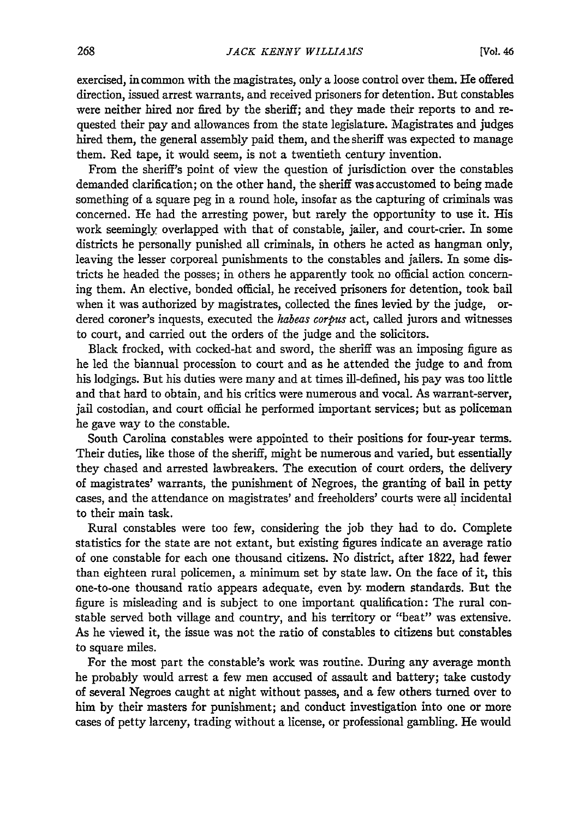exercised, in common with the magistrates, only a loose control over them. He offered direction, issued arrest warrants, and received prisoners for detention. But constables were neither hired nor fired by the sheriff; and they made their reports to and requested their pay and allowances from the state legislature. Magistrates and judges hired them, the general assembly paid them, and the sheriff was expected to manage them. Red tape, it would seem, is not a twentieth century invention.

From the sheriff's point of view the question of jurisdiction over the constables demanded clarification; on the other hand, the sheriff was accustomed to being made something of a square peg in a round hole, insofar as the capturing of criminals was concerned. He had the arresting power, but rarely the opportunity to use it. His work seemingly overlapped with that of constable, jailer, and court-crier. In some districts he personally punished all criminals, in others he acted as hangman only, leaving the lesser corporeal punishments to the constables and jailers. In some districts he headed the posses; in others he apparently took no official action concerning them. An elective, bonded official, he received prisoners for detention, took bail when it was authorized by magistrates, collected the fines levied by the judge, ordered coroner's inquests, executed the *habeas corpus* act, called jurors and witnesses to court, and carried out the orders of the judge and the solicitors.

Black frocked, with cocked-hat and sword, the sheriff was an imposing figure as he led the biannual procession to court and as he attended the judge to and from his lodgings. But his duties were many and at times ill-defined, his pay was too little and that hard to obtain, and his critics were numerous and vocal. As warrant-server, jail costodian, and court official he performed important services; but as policeman he gave way to the constable.

South Carolina constables were appointed to their positions for four-year terms. Their duties, like those of the sheriff, might be numerous and varied, but essentially they chased and arrested lawbreakers. The execution of court orders, the delivery of magistrates' warrants, the punishment of Negroes, the granting of bail in petty cases, and the attendance on magistrates' and freeholders' courts were all incidental to their main task.

Rural constables were too few, considering the job they had to do. Complete statistics for the state are not extant, but existing figures indicate an average ratio of one constable for each one thousand citizens. No district, after 1822, had fewer than eighteen rural policemen, a minimum set by state law. On the face of it, this one-to-one thousand ratio appears adequate, even by modern standards. But the figure is misleading and is subject to one important qualification: The rural constable served both village and country, and his territory or "beat" was extensive. As he viewed it, the issue was not the ratio of constables to citizens but constables to square miles.

For the most part the constable's work was routine. During any average month he probably would arrest a few men accused of assault and battery; take custody of several Negroes caught at night without passes, and a few others turned over to him by their masters for punishment; and conduct investigation into one or more cases of petty larceny, trading without a license, or professional gambling. He would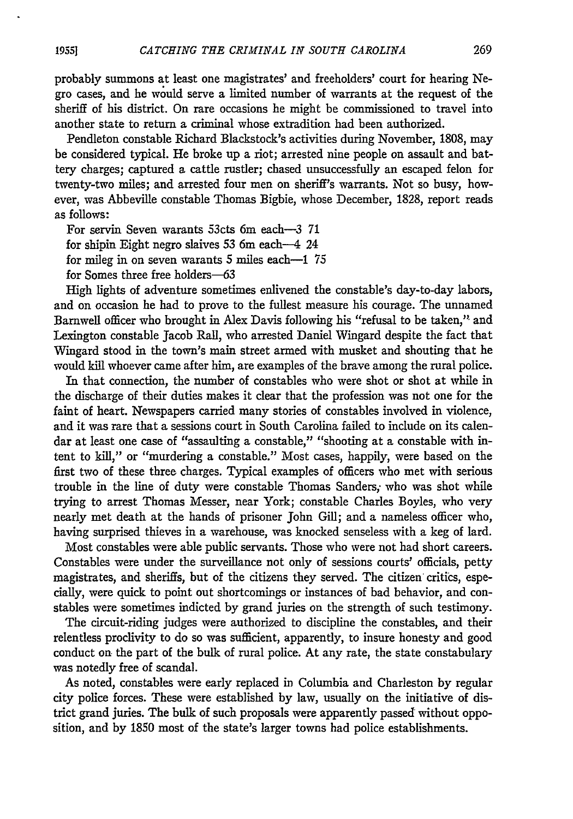probably summons at least one magistrates' and freeholders' court for hearing Negro cases, and he would serve a limited number of warrants at the request of the sheriff of his district. On rare occasions he might be commissioned to travel into another state to return a criminal whose extradition had been authorized.

Pendleton constable Richard Blackstock's activities during November, 1808, may be considered typical. He broke up a riot; arrested nine people on assault and battery charges; captured a cattle rustler; chased unsuccessfully an escaped felon for twenty-two miles; and arrested four men on sheriff's warrants. Not so busy, however, was Abbeville constable Thomas Bigbie, whose December, 1828, report reads as follows:

For servin Seven warants 53cts 6m each-3 71 for shipin Eight negro slaives 53 6m each--4 24 for mileg in on seven warants 5 miles each-1 75 for Somes three free holders-63

High lights of adventure sometimes enlivened the constable's day-to-day labors, and on occasion he had to prove to the fullest measure his courage. The unnamed Barnwell officer who brought in Alex Davis following his "refusal to be taken," and Lexington constable Jacob Rall, who arrested Daniel Wingard despite the fact that Wingard stood in the town's main street armed with musket and shouting that he would kill whoever came after him, are examples of the brave among the rural police.

In that connection, the number of constables who were shot or shot at while in the discharge of their duties makes it clear that the profession was not one for the faint of heart. Newspapers carried many stories of constables involved in violence, and it was rare that a sessions court in South Carolina failed to include on its calendar at least one case of "assaulting a constable," "shooting at a constable with intent to kill," or "murdering a constable." Most cases, happily, were based on the first two of these three charges. Typical examples of officers who met with serious trouble in the line of duty were constable Thomas Sanders; who was shot while trying to arrest Thomas Messer, near York; constable Charles Boyles, who very nearly met death at the hands of prisoner John Gill; and a nameless officer who, having surprised thieves in a warehouse, was knocked senseless with a keg of lard.

Most constables were able public servants. Those who were not had short careers. Constables were under the surveillance not only of sessions courts' officials, petty magistrates, and sheriffs, but of the citizens they served. The citizen critics, especially, were quick to point out shortcomings or instances of bad behavior, and constables were sometimes indicted by grand juries on the strength of such testimony.

The circuit-riding judges were authorized to discipline the constables, and their relentless proclivity to do so was sufficient, apparently, to insure honesty and good conduct on the part of the bulk of rural police. At any rate, the state constabulary was notedly free of scandal.

As noted, constables were early replaced in Columbia and Charleston by regular city police forces. These were established by law, usually on the initiative of district grand juries. The bulk of such proposals were apparently passed without opposition, and by 1850 most of the state's larger towns had police establishments.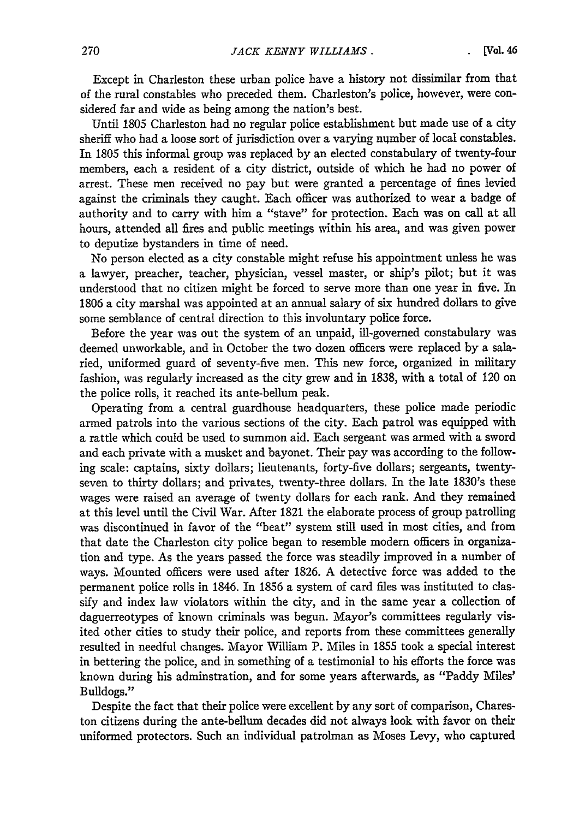Except in Charleston these urban police have a history not dissimilar from that of the rural constables who preceded them. Charleston's police, however, were considered far and wide as being among the nation's best.

Until 1805 Charleston had no regular police establishment but made use of a city sheriff who had a loose sort of jurisdiction over a varying number of local constables. In 1805 this informal group was replaced by an elected constabulary of twenty-four members, each a resident of a city district, outside of which he had no power of arrest. These men received no pay but were granted a percentage of fines levied against the criminals they caught. Each officer was authorized to wear a badge of authority and to carry with him a "stave" for protection. Each was on call at all hours, attended all fires and public meetings within his area, and was given power to deputize bystanders in time of need.

No person elected as a city constable might refuse his appointment unless he was a lawyer, preacher, teacher, physician, vessel master, or ship's pilot; but it was understood that no citizen might be forced to serve more than one year in five. In 1806 a city marshal was appointed at an annual salary of six hundred dollars to give some semblance of central direction to this involuntary police force.

Before the year was out the system of an unpaid, ill-governed constabulary was deemed unworkable, and in October the two dozen officers were replaced by a salaried, uniformed guard of seventy-five men. This new force, organized in military fashion, was regularly increased as the city grew and in 1838, with a total of 120 on the police rolls, it reached its ante-bellum peak.

Operating from a central guardhouse headquarters, these police made periodic armed patrols into the various sections of the city. Each patrol was equipped with a rattle which could be used to summon aid. Each sergeant was armed with a sword and each private with a musket and bayonet. Their pay was according to the following scale: captains, sixty dollars; lieutenants, forty-five dollars; sergeants, twentyseven to thirty dollars; and privates, twenty-three dollars. In the late 1830's these wages were raised an average of twenty dollars for each rank. And they remained at this level until the Civil War. After 1821 the elaborate process of group patrolling was discontinued in favor of the "beat" system still used in most cities, and from that date the Charleston city police began to resemble modern officers in organization and type. As the years passed the force was steadily improved in a number of ways. Mounted officers were used after 1826. A detective force was added to the permanent police rolls in 1846. In 1856 a system of card files was instituted to classify and index law violators within the city, and in the same year a collection of daguerreotypes of known criminals was begun. Mayor's committees regularly visited other cities to study their police, and reports from these committees generally resulted in needful changes. Mayor William P. Miles in 1855 took a special interest in bettering the police, and in something of a testimonial to his efforts the force was known during his adminstration, and for some years afterwards, as "Paddy Miles' Bulldogs."

Despite the fact that their police were excellent by any sort of comparison, Chareston citizens during the ante-bellum decades did not always look with favor on their uniformed protectors. Such an individual patrolman as Moses Levy, who captured